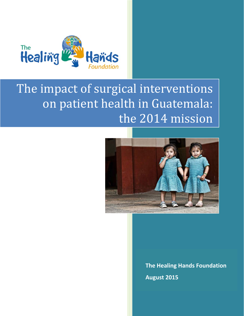

# The impact of surgical interventions on patient health in Guatemala: the 2014 mission



**The Healing Hands Foundation August 2015**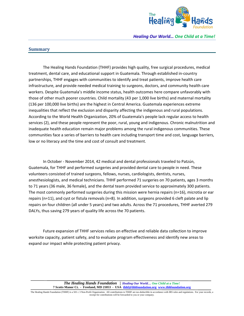

#### **Summary**

The Healing Hands Foundation (THHF) provides high quality, free surgical procedures, medical treatment, dental care, and educational support in Guatemala. Through established in‐country partnerships, THHF engages with communities to identify and treat patients, improve health care infrastructure, and provide needed medical training to surgeons, doctors, and community health care workers. Despite Guatemala's middle income status, health outcomes here compare unfavorably with those of other much poorer countries. Child mortality (43 per 1,000 live births) and maternal mortality (136 per 100,000 live births) are the highest in Central America. Guatemala experiences extreme inequalities that reflect the exclusion and disparity affecting the indigenous and rural populations. According to the World Health Organization, 20% of Guatemala's people lack regular access to health services (2), and these people represent the poor, rural, young and indigenous. Chronic malnutrition and inadequate health education remain major problems among the rural indigenous communities. These communities face a series of barriers to health care including transport time and cost, language barriers, low or no literacy and the time and cost of consult and treatment.

In October ‐ November 2014, 42 medical and dental professionals traveled to Patzún, Guatemala, for THHF and performed surgeries and provided dental care to people in need. These volunteers consisted of trained surgeons, fellows, nurses, cardiologists, dentists, nurses, anesthesiologists, and medical technicians. THHF performed 71 surgeries on 70 patients, ages 3 months to 71 years (36 male, 36 female), and the dental team provided service to approximately 300 patients. The most commonly performed surgeries during this mission were hernia repairs (n=16), microtia or ear repairs (n=11), and cyst or fistula removals (n=8). In addition, surgeons provided 6 cleft palate and lip repairs on four children (all under 5 years) and two adults. Across the 71 procedures, THHF averted 279 DALYs, thus saving 279 years of quality life across the 70 patients.

Future expansion of THHF services relies on effective and reliable data collection to improve worksite capacity, patient safety, and to evaluate program effectiveness and identify new areas to expand our impact while protecting patient privacy.

> *The Healing Hands Foundation* **|** *Healing Our World… One Child at a Time!* **7 Scotts Manor Ct. - Freeland, MD 21053 - USA thhf@thhfoundation.org www.thhfoundation.org**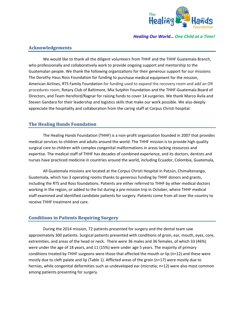

# **Acknowledgements**

We would like to thank all the diligent volunteers from THHF and the THHF Guatemala Branch, who professionally and collaboratively work to provide ongoing support and mentorship to the Guatemalan people. We thank the following organizations for their generous support for our missions: The Dorothy Haus Ross Foundation for funding to purchase medical equipment for the mission, American Airlines, RTS Family Foundation for funding used to expand the recovery room and add an OR procedures room, Rotary Club of Baltimore, Mia Sutphin Foundation and the THHF‐Guatemala Board of Directors, and Team Hereford/Ragnar for raising funds to cover 14 surgeries. We thank Marco Ávila and Steven Gandara for their leadership and logistics skills that make our work possible. We also deeply appreciate the hospitality and collaboration from the caring staff at Corpus Christi hospital.

# **The Healing Hands Foundation**

The Healing Hands Foundation (THHF) is a non‐profit organization founded in 2007 that provides medical services to children and adults around the world. The THHF mission is to provide high quality surgical care to children with complex congenital malformations in areas lacking resources and expertise. The medical staff of THHF has decades of combined experience, and its doctors, dentists and nurses have practiced medicine in countries around the world, including Ecuador, Colombia, Guatemala,

All Guatemala missions are located at the Corpus Christi Hospital in Patzún, Chimaltenango, Guatemala, which has 3 operating rooms thanks to generous funding by THHF donors and grants, including the RTS and Ross foundations. Patients are either referred to THHF by other medical doctors working in the region, or added to the list during a pre‐mission trip in October, where THHF medical staff examined and identified candidate patients for surgery. Patients come from all over the country to receive THHF treatment and care.

# **Conditions in Patients Requiring Surgery**

During the 2014 mission, 72 patients presented for surgery and the dental team saw approximately 300 patients. Surgical patients presented with conditions of groin, ear, mouth, eyes, core, extremities, and areas of the head or neck. There were 36 males and 36 females, of which 33 (46%) were under the age of 18 years, and 11 (15%) were under age 5 years. The majority of primary conditions treated by THHF surgeons were those that affected the mouth or lip (n=12) and these were mostly due to cleft palate and lip (Table 1). Afflicted areas of the groin (n=17) were mostly due to hernias, while congenital deformities such as undeveloped ear (microtia; n=12) were also most common among patients presenting for surgery.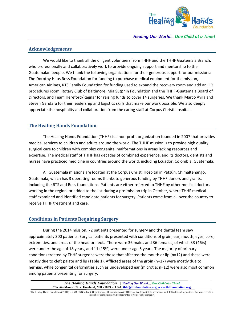

## **Acknowledgements**

We would like to thank all the diligent volunteers from THHF and the THHF Guatemala Branch, who professionally and collaboratively work to provide ongoing support and mentorship to the Guatemalan people. We thank the following organizations for their generous support for our missions: The Dorothy Haus Ross Foundation for funding to purchase medical equipment for the mission, American Airlines, RTS Family Foundation for funding used to expand the recovery room and add an OR procedures room, Rotary Club of Baltimore, Mia Sutphin Foundation and the THHF‐Guatemala Board of Directors, and Team Hereford/Ragnar for raising funds to cover 14 surgeries. We thank Marco Ávila and Steven Gandara for their leadership and logistics skills that make our work possible. We also deeply appreciate the hospitality and collaboration from the caring staff at Corpus Christi hospital.

# **The Healing Hands Foundation**

The Healing Hands Foundation (THHF) is a non‐profit organization founded in 2007 that provides medical services to children and adults around the world. The THHF mission is to provide high quality surgical care to children with complex congenital malformations in areas lacking resources and expertise. The medical staff of THHF has decades of combined experience, and its doctors, dentists and nurses have practiced medicine in countries around the world, including Ecuador, Colombia, Guatemala,

All Guatemala missions are located at the Corpus Christi Hospital in Patzún, Chimaltenango, Guatemala, which has 3 operating rooms thanks to generous funding by THHF donors and grants, including the RTS and Ross foundations. Patients are either referred to THHF by other medical doctors working in the region, or added to the list during a pre‐mission trip in October, where THHF medical staff examined and identified candidate patients for surgery. Patients come from all over the country to receive THHF treatment and care.

# **Conditions in Patients Requiring Surgery**

During the 2014 mission, 72 patients presented for surgery and the dental team saw approximately 300 patients. Surgical patients presented with conditions of groin, ear, mouth, eyes, core, extremities, and areas of the head or neck. There were 36 males and 36 females, of which 33 (46%) were under the age of 18 years, and 11 (15%) were under age 5 years. The majority of primary conditions treated by THHF surgeons were those that affected the mouth or lip (n=12) and these were mostly due to cleft palate and lip (Table 1). Afflicted areas of the groin (n=17) were mostly due to hernias, while congenital deformities such as undeveloped ear (microtia; n=12) were also most common among patients presenting for surgery.

> *The Healing Hands Foundation* **|** *Healing Our World… One Child at a Time!* **7 Scotts Manor Ct. - Freeland, MD 21053 - USA thhf@thhfoundation.org www.thhfoundation.org**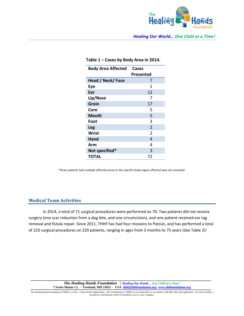

| <b>Body Area Affected</b> | Cases<br>Presented |
|---------------------------|--------------------|
| Head / Neck/ Face         | 7                  |
| Eye                       | 1                  |
| Ear                       | 12                 |
| Lip/Nose                  | 7                  |
| Groin                     | 17                 |
| Core                      | 5                  |
| Mouth                     | 5                  |
| Foot                      | 3                  |
| Leg                       | $\overline{2}$     |
| <b>Wrist</b>              | $\overline{2}$     |
| Hand                      | 4                  |
| Arm                       | 4                  |
| Not specified*            | 3                  |
| <b>TOTAL</b>              | 72                 |

#### **Table 1 – Cases by Body Area in 2014.**

\*three patients had multiple affected areas or the specific body region affected was not recorded.

#### **Medical Team Activities**

In 2014, a total of 71 surgical procedures were performed on 70. Two patients did not receive surgery (one scar reduction from a dog bite, and one circumcision), and one patient received ear tag removal and fistula repair. Since 2011, THHF has had four missions to Patzún, and has performed a total of 233 surgical procedures on 229 patients, ranging in ages from 3 months to 75 years (See Table 2)!

> *The Healing Hands Foundation* **|** *Healing Our World… One Child at a Time!* **7 Scotts Manor Ct. - Freeland, MD 21053 - USA thhf@thhfoundation.org www.thhfoundation.org**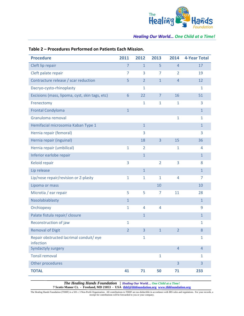

| <b>Procedure</b>                                    | 2011           | 2012           | 2013           | 2014           | <b>4-Year Total</b> |
|-----------------------------------------------------|----------------|----------------|----------------|----------------|---------------------|
| Cleft lip repair                                    | $\overline{7}$ | $\mathbf{1}$   | 5              | $\overline{4}$ | 17                  |
| Cleft palate repair                                 | 7              | 3              | 7              | $\overline{2}$ | 19                  |
| Contracture release / scar reduction                | 5              | $\overline{2}$ | $\mathbf{1}$   | $\overline{4}$ | 12                  |
| Dacryo-cysto-rhinoplasty                            |                | $\mathbf{1}$   |                |                | $\mathbf{1}$        |
| Excisions (mass, lipoma, cyst, skin tags, etc)      | 6              | 22             | $\overline{7}$ | 16             | 51                  |
| Frenectomy                                          |                | $\mathbf{1}$   | $\mathbf{1}$   | $\mathbf{1}$   | 3                   |
| <b>Frontal Condyloma</b>                            | $\mathbf{1}$   |                |                |                | $\mathbf{1}$        |
| Granuloma removal                                   |                |                |                | $\mathbf{1}$   | $\mathbf{1}$        |
| Hemifacial microsomia Kaban Type 1                  |                | $\mathbf{1}$   |                |                | $\mathbf{1}$        |
| Hernia repair (femoral)                             |                | 3              |                |                | 3                   |
| Hernia repair (inguinal)                            |                | 18             | 3              | 15             | 36                  |
| Hernia repair (umbilical)                           | $\mathbf{1}$   | 2              |                | 1              | 4                   |
| Inferior earlobe repair                             |                | $\mathbf{1}$   |                |                | $\mathbf{1}$        |
| Keloid repair                                       | 3              |                | $\overline{2}$ | 3              | 8                   |
| Lip release                                         |                | $\mathbf{1}$   |                |                | $\mathbf{1}$        |
| Lip/nose repair/revision or Z-plasty                | $\mathbf{1}$   | $\mathbf{1}$   | $\mathbf{1}$   | 4              | 7                   |
| Lipoma or mass                                      |                |                | 10             |                | 10                  |
| Microtia / ear repair                               | 5              | 5              | 7              | 11             | 28                  |
| Nasolabiablasty                                     | $\mathbf{1}$   |                |                |                | $\mathbf{1}$        |
| Orchiopexy                                          | $\mathbf{1}$   | $\overline{4}$ | 4              |                | 9                   |
| Palate fistula repair/ closure                      |                | $\mathbf{1}$   |                |                | $\mathbf{1}$        |
| Reconstruction of jaw                               | $\mathbf{1}$   |                |                |                | $\mathbf{1}$        |
| <b>Removal of Digit</b>                             | $\overline{2}$ | 3              | $\mathbf{1}$   | $\overline{2}$ | 8                   |
| Repair obstructed lacrimal conduit/eye<br>infection |                | $\mathbf{1}$   |                |                | $\mathbf{1}$        |
| Syndactyly surgery                                  |                |                |                | $\overline{4}$ | $\overline{4}$      |
| <b>Tonsil removal</b>                               |                |                | $\mathbf{1}$   |                | $\mathbf{1}$        |
| Other procedures                                    |                |                |                | $\overline{3}$ | 3                   |
| <b>TOTAL</b>                                        | 41             | 71             | 50             | 71             | 233                 |

## **Table 2 – Procedures Performed on Patients Each Mission.**

*The Healing Hands Foundation* **|** *Healing Our World… One Child at a Time!* **7 Scotts Manor Ct. - Freeland, MD 21053 - USA thhf@thhfoundation.org www.thhfoundation.org**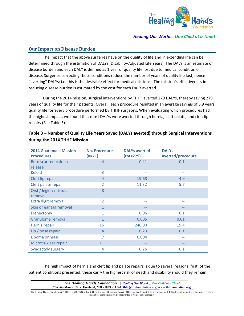

## **Our Impact on Disease Burden**

The impact that the above surgeries have on the quality of life and in extending life can be determined through the estimation of DALYs (Disability‐Adjusted Life Years). The DALY is an estimate of disease burden and each DALY is defined as 1 year of quality life lost due to medical condition or disease. Surgeries correcting these conditions reduce the number of years of quality life lost, hence "averting" DALYs; i.e. this is the desirable effect for medical missions. The mission's effectiveness in reducing disease burden is estimated by the cost for each DALY averted.

During the 2014 mission, surgical interventions by THHF averted 279 DALYs, thereby saving 279 years of quality life for their patients. Overall, each procedure resulted in an average savings of 3.9 years quality life for every procedure performed by THHF surgeons. When evaluating which procedures had the highest impact, we found that most DALYs were averted through hernia, cleft palate, and cleft lip repairs (See Table 3).

| <b>2014 Guatemala Mission</b> | <b>No. Procedures</b> | <b>DALYs averted</b> | <b>DALYs</b>      |
|-------------------------------|-----------------------|----------------------|-------------------|
| <b>Procedures</b>             | $(n=71)$              | $(tot=279)$          | averted/procedure |
| Burn scar reduction /         | $\overline{4}$        | 0.41                 | 0.1               |
| release                       |                       |                      |                   |
| <b>Keloid</b>                 | 3                     | --                   | --                |
| Cleft lip repair              | $\overline{4}$        | 19.68                | 4.9               |
| Cleft palate repair           | $\overline{2}$        | 11.32                | 5.7               |
| Cyst / legion / fistula       | 8                     |                      |                   |
| removal                       |                       |                      |                   |
| Extra digit removal           | $\overline{2}$        | --                   | --                |
| Skin or ear tag removal       | 1                     | --                   | --                |
| Frenectomy                    | 1                     | 0.06                 | 0.1               |
| Granuloma removal             | $\mathbf{1}$          | 0.005                | 0.01              |
| Hernia repair                 | 16                    | 246.90               | 15.4              |
| Lip / nose repair             | $\overline{4}$        | 0.23                 | 0.1               |
| Lipoma or mass                | 7                     | 0.004                | $-$               |
| Microtia / ear repair         | 11                    | $- -$                | $- -$             |
| <b>Syndactyly surgery</b>     | 4                     | 0.26                 | 0.1               |

**Table 3 – Number of Quality Life Years Saved (DALYs averted) through Surgical Interventions during the 2014 THHF Mission.**

The high impact of hernia and cleft lip and palate repairs is due to several reasons: first, of the patient conditions presented, these carry the highest risk of death and disability should they remain

*The Healing Hands Foundation* **|** *Healing Our World… One Child at a Time!* **7 Scotts Manor Ct. - Freeland, MD 21053 - USA thhf@thhfoundation.org www.thhfoundation.org**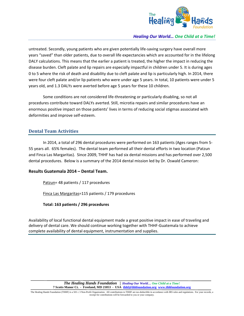

untreated. Secondly, young patients who are given potentially life‐saving surgery have overall more years "saved" than older patients, due to overall life expectancies which are accounted for in the lifelong DALY calculations. This means that the earlier a patient is treated, the higher the impact in reducing the disease burden. Cleft palate and lip repairs are especially impactful in children under 5. It is during ages 0 to 5 where the risk of death and disability due to cleft palate and lip is particularly high. In 2014, there were four cleft palate and/or lip patients who were under age 5 years. In total, 10 patients were under 5 years old, and 1.3 DALYs were averted before age 5 years for these 10 children.

Some conditions are not considered life‐threatening or particularly disabling, so not all procedures contribute toward DALYs averted. Still, microtia repairs and similar procedures have an enormous positive impact on those patients' lives in terms of reducing social stigmas associated with deformities and improve self‐esteem.

## **Dental Team Activities**

In 2014, a total of 296 dental procedures were performed on 163 patients (Ages ranges from 5‐ 55 years all. 65% females). The dental team performed all their dental efforts in two location (Patzun and Finca Las Margaritas). Since 2009, THHF has had six dental missions and has performed over 2,500 dental procedures. Below is a summary of the 2014 dental mission led by Dr. Oswald Cameron:

#### **Results Guatemala 2014 – Dental Team.**

Patzun= 48 patients / 117 procedures

Finca Las Margaritas=115 patients / 179 procedures

**Total: 163 patients / 296 procedures** 

Availability of local functional dental equipment made a great positive impact in ease of traveling and delivery of dental care. We should continue working together with THHF‐Guatemala to achieve complete availability of dental equipment, instrumentation and supplies.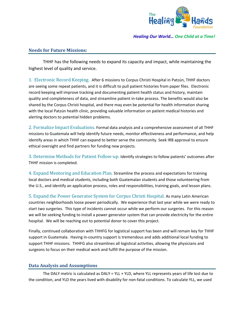

## **Needs for Future Missions:**

THHF has the following needs to expand its capacity and impact, while maintaining the highest level of quality and service.

1. Electronic Record Keeping. After 6 missions to Corpus Christi Hospital in Patzún, THHF doctors are seeing some repeat patients, and it is difficult to pull patient histories from paper files. Electronic record keeping will improve tracking and documenting patient health status and history, maintain quality and completeness of data, and streamline patient in‐take process. The benefits would also be shared by the Corpus Christi hospital, and there may even be potential for health information sharing with the local Patzún health clinic, providing valuable information on patient medical histories and alerting doctors to potential hidden problems.

2. Formalize Impact Evaluations. Formal data analysis and a comprehensive assessment of all THHF missions to Guatemala will help identify future needs, monitor effectiveness and performance, and help identify areas in which THHF can expand to better serve the community. Seek IRB approval to ensure ethical oversight and find partners for funding new projects.

3. Determine Methods for Patient Follow-up. Identify strategies to follow patients' outcomes after THHF mission is completed.

4. Expand Mentoring and Education Plan. Streamline the process and expectations for training local doctors and medical students, including both Guatemalan students and those volunteering from the U.S., and identify an application process, roles and responsibilities, training goals, and lesson plans.

5. Expand the Power Generator System for Corpus Christi Hospital. As many Latin American countries neighborhoods loose power periodically. We experience that last year while we were ready to start two surgeries. This type of incidents cannot occur while we perform our surgeries. For this reason we will be seeking funding to install a power generator system that can provide electricity for the entire hospital. We will be reaching out to potential donor to cover this project.

Finally, continued collaboration with THHFG for logistical support has been and will remain key for THHF support in Guatemala. Having in‐country support is tremendous and adds additional local funding to support THHF missions. THHFG also streamlines all logistical activities, allowing the physicians and surgeons to focus on their medical work and fulfill the purpose of the mission.

#### **Data Analysis and Assumptions**

The DALY metric is calculated as DALY = YLL + YLD, where YLL represents years of life lost due to the condition, and YLD the years lived with disability for non-fatal conditions. To calculate YLL, we used